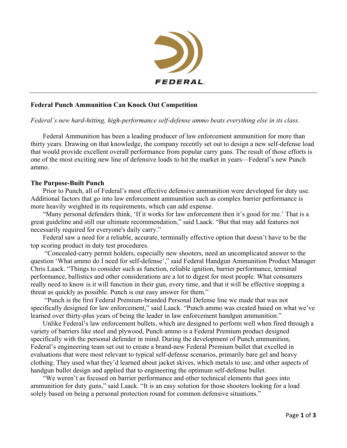

# **Federal Punch Ammunition Can Knock Out Competition**

## *Federal's new hard-hitting, high-performance self-defense ammo beats everything else in its class.*

Federal Ammunition has been a leading producer of law enforcement ammunition for more than thirty years. Drawing on that knowledge, the company recently set out to design a new self-defense load that would provide excellent overall performance from popular carry guns. The result of those efforts is one of the most exciting new line of defensive loads to hit the market in years—Federal's new Punch ammo.

## **The Purpose-Built Punch**

Prior to Punch, all of Federal's most effective defensive ammunition were developed for duty use. Additional factors that go into law enforcement ammunition such as complex barrier performance is more heavily weighted in its requirements, which can add expense.

"Many personal defenders think, 'If it works for law enforcement then it's good for me.' That is a great guideline and still our ultimate recommendation," said Laack. "But that may add features not necessarily required for everyone's daily carry."

Federal saw a need for a reliable, accurate, terminally effective option that doesn't have to be the top scoring product in duty test procedures.

"Concealed-carry permit holders, especially new shooters, need an uncomplicated answer to the question 'What ammo do I need for self-defense'," said Federal Handgun Ammunition Product Manager Chris Laack. "Things to consider such as function, reliable ignition, barrier performance, terminal performance, ballistics and other considerations are a lot to digest for most people. What consumers really need to know is it will function in their gun, every time, and that it will be effective stopping a threat as quickly as possible. Punch is our easy answer for them."

"Punch is the first Federal Premium-branded Personal Defense line we made that was not specifically designed for law enforcement," said Laack. "Punch ammo was created based on what we've learned over thirty-plus years of being the leader in law enforcement handgun ammunition."

Unlike Federal's law enforcement bullets, which are designed to perform well when fired through a variety of barriers like steel and plywood, Punch ammo is a Federal Premium product designed specifically with the personal defender in mind. During the development of Punch ammunition, Federal's engineering team set out to create a brand-new Federal Premium bullet that excelled in evaluations that were most relevant to typical self-defense scenarios, primarily bare gel and heavy clothing. They used what they'd learned about jacket skives, which metals to use, and other aspects of handgun bullet design and applied that to engineering the optimum self-defense bullet.

"We weren't as focused on barrier performance and other technical elements that goes into ammunition for duty guns," said Laack. "It is an easy solution for those shooters looking for a load solely based on being a personal protection round for common defensive situations."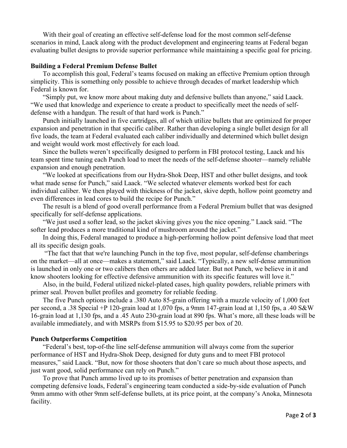With their goal of creating an effective self-defense load for the most common self-defense scenarios in mind, Laack along with the product development and engineering teams at Federal began evaluating bullet designs to provide superior performance while maintaining a specific goal for pricing.

### **Building a Federal Premium Defense Bullet**

To accomplish this goal, Federal's teams focused on making an effective Premium option through simplicity. This is something only possible to achieve through decades of market leadership which Federal is known for.

"Simply put, we know more about making duty and defensive bullets than anyone," said Laack. "We used that knowledge and experience to create a product to specifically meet the needs of selfdefense with a handgun. The result of that hard work is Punch."

Punch initially launched in five cartridges, all of which utilize bullets that are optimized for proper expansion and penetration in that specific caliber. Rather than developing a single bullet design for all five loads, the team at Federal evaluated each caliber individually and determined which bullet design and weight would work most effectively for each load.

Since the bullets weren't specifically designed to perform in FBI protocol testing, Laack and his team spent time tuning each Punch load to meet the needs of the self-defense shooter—namely reliable expansion and enough penetration.

"We looked at specifications from our Hydra-Shok Deep, HST and other bullet designs, and took what made sense for Punch," said Laack. "We selected whatever elements worked best for each individual caliber. We then played with thickness of the jacket, skive depth, hollow point geometry and even differences in lead cores to build the recipe for Punch."

The result is a blend of good overall performance from a Federal Premium bullet that was designed specifically for self-defense applications.

"We just used a softer lead, so the jacket skiving gives you the nice opening." Laack said. "The softer lead produces a more traditional kind of mushroom around the jacket."

In doing this, Federal managed to produce a high-performing hollow point defensive load that meet all its specific design goals.

"The fact that that we're launching Punch in the top five, most popular, self-defense chamberings on the market—all at once—makes a statement," said Laack. "Typically, a new self-dense ammunition is launched in only one or two calibers then others are added later. But not Punch, we believe in it and know shooters looking for effective defensive ammunition with its specific features will love it."

Also, in the build, Federal utilized nickel-plated cases, high quality powders, reliable primers with primer seal. Proven bullet profiles and geometry for reliable feeding.

The five Punch options include a .380 Auto 85-grain offering with a muzzle velocity of 1,000 feet per second, a .38 Special +P 120-grain load at 1,070 fps, a 9mm 147-grain load at 1,150 fps, a .40 S&W 16-grain load at 1,130 fps, and a .45 Auto 230-grain load at 890 fps. What's more, all these loads will be available immediately, and with MSRPs from \$15.95 to \$20.95 per box of 20.

### **Punch Outperforms Competition**

"Federal's best, top-of-the line self-defense ammunition will always come from the superior performance of HST and Hydra-Shok Deep, designed for duty guns and to meet FBI protocol measures," said Laack. "But, now for those shooters that don't care so much about those aspects, and just want good, solid performance can rely on Punch."

To prove that Punch ammo lived up to its promises of better penetration and expansion than competing defensive loads, Federal's engineering team conducted a side-by-side evaluation of Punch 9mm ammo with other 9mm self-defense bullets, at its price point, at the company's Anoka, Minnesota facility.